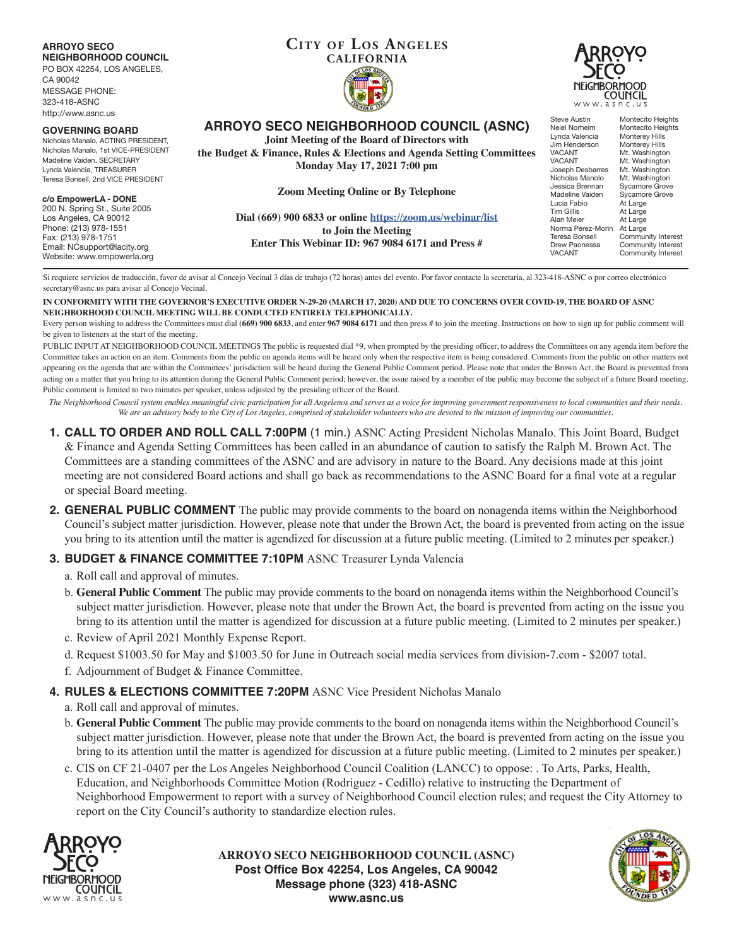#### **ARROYO SECO NEIGHBORHOOD COUNCIL**

PO BOX 42254, LOS ANGELES,

CA 90042 MESSAGE PHONE: 323-418-ASNC http://www.asnc.us

#### **GOVERNING BOARD**

Nicholas Manalo, ACTING PRESIDENT, Nicholas Manalo, 1st VICE-PRESIDENT Madeline Vaiden, SECRETARY Lynda Valencia, TREASURER Teresa Bonsell, 2nd VICE PRESIDENT

#### **c/o EmpowerLA - DONE**

200 N. Spring St., Suite 2005 Los Angeles, CA 90012 Phone: (213) 978-1551 Fax: (213) 978-1751 Email: NCsupport@lacity.org Website: www.empowerla.org

# **CITY OF LOS ANGELES CALIFORNIA**



**ARROYO SECO NEIGHBORHOOD COUNCIL (ASNC)**

**Joint Meeting of the Board of Directors with**

**the Budget & Finance, Rules & Elections and Agenda Setting Committees Monday May 17, 2021 7:00 pm**

**Zoom Meeting Online or By Telephone**

**Dial (669) 900 6833 or online https://zoom.us/webinar/list to Join the Meeting Enter This Webinar ID: 967 9084 6171 and Press #**

Steve Austin Montecito Heights<br>Neiel Norheim Montecito Heights Montecito Heights<br>Monterey Hills Lynda Valencia Monterey Hills<br>Jim Henderson Monterey Hills Jim Henderson<br>VACANT VACANT Mt. Washington<br>VACANT Mt. Washington VACANT Mt. Washington<br>Joseph Desbarres Mt. Washington **Joseph Desbarres** Mt. Washington<br>Nicholas Manolo Mt. Washington Nicholas Manolo Mt. Washington Jessica Brennan Sycamore Grove Madeline Vaiden Sycamore Grove<br>Lucia Fabio At Large <u>Lucia Fabio</u> At Large<br>Tim Gillis At Large Tim Gillis At Large<br>Alan Meier At Large At Large Norma Perez-Morin<br>Teresa Bonsell Norma Perez-Morin At Large<br>Teresa Bonsell Community Interest<br>Drew Paonessa Community Interest Drew Paonessa Community Interest<br>VACANT Community Interest Community Interest

Si requiere servicios de traducción, favor de avisar al Concejo Vecinal 3 días de trabajo (72 horas) antes del evento. Por favor contacte la secretaria, al 323-418-ASNC o por correo electrónico secretary@asnc.us para avisar al Concejo Vecinal.

#### **IN CONFORMITY WITH THE GOVERNOR'S EXECUTIVE ORDER N-29-20 (MARCH 17, 2020) AND DUE TO CONCERNS OVER COVID-19, THE BOARD OF ASNC NEIGHBORHOOD COUNCIL MEETING WILL BE CONDUCTED ENTIRELY TELEPHONICALLY.**

Every person wishing to address the Committees must dial **(669) 900 6833**, and enter **967 9084 6171** and then press # to join the meeting. Instructions on how to sign up for public comment will be given to listeners at the start of the meeting.

PUBLIC INPUT AT NEIGHBORHOOD COUNCIL MEETINGS The public is requested dial \*9, when prompted by the presiding officer, to address the Committees on any agenda item before the Committee takes an action on an item. Comments from the public on agenda items will be heard only when the respective item is being considered. Comments from the public on other matters not appearing on the agenda that are within the Committees' jurisdiction will be heard during the General Public Comment period. Please note that under the Brown Act, the Board is prevented from acting on a matter that you bring to its attention during the General Public Comment period; however, the issue raised by a member of the public may become the subject of a future Board meeting. Public comment is limited to two minutes per speaker, unless adjusted by the presiding officer of the Board.

*The Neighborhood Council system enables meaningful civic participation for all Angelenos and serves as a voice for improving government responsiveness to local communities and their needs. We are an advisory body to the City of Los Angeles, comprised of stakeholder volunteers who are devoted to the mission of improving our communities.*

- **1. CALL TO ORDER AND ROLL CALL 7:00PM** (1 min.) ASNC Acting President Nicholas Manalo. This Joint Board, Budget & Finance and Agenda Setting Committees has been called in an abundance of caution to satisfy the Ralph M. Brown Act. The Committees are a standing committees of the ASNC and are advisory in nature to the Board. Any decisions made at this joint meeting are not considered Board actions and shall go back as recommendations to the ASNC Board for a final vote at a regular or special Board meeting.
- **2. GENERAL PUBLIC COMMENT** The public may provide comments to the board on nonagenda items within the Neighborhood Council's subject matter jurisdiction. However, please note that under the Brown Act, the board is prevented from acting on the issue you bring to its attention until the matter is agendized for discussion at a future public meeting. (Limited to 2 minutes per speaker.)

# **3. BUDGET & FINANCE COMMITTEE 7:10PM ASNC Treasurer Lynda Valencia**

- a. Roll call and approval of minutes.
- b. **General Public Comment** The public may provide comments to the board on nonagenda items within the Neighborhood Council's subject matter jurisdiction. However, please note that under the Brown Act, the board is prevented from acting on the issue you bring to its attention until the matter is agendized for discussion at a future public meeting. (Limited to 2 minutes per speaker.)
- c. Review of April 2021 Monthly Expense Report.
- d. Request \$1003.50 for May and \$1003.50 for June in Outreach social media services from division-7.com \$2007 total.
- f. Adjournment of Budget & Finance Committee.

# **4. RULES & ELECTIONS COMMITTEE 7:20PM** ASNC Vice President Nicholas Manalo

- a. Roll call and approval of minutes.
- b. **General Public Comment** The public may provide comments to the board on nonagenda items within the Neighborhood Council's subject matter jurisdiction. However, please note that under the Brown Act, the board is prevented from acting on the issue you bring to its attention until the matter is agendized for discussion at a future public meeting. (Limited to 2 minutes per speaker.)
- c. CIS on CF 21-0407 per the Los Angeles Neighborhood Council Coalition (LANCC) to oppose: . To Arts, Parks, Health, Education, and Neighborhoods Committee Motion (Rodriguez - Cedillo) relative to instructing the Department of Neighborhood Empowerment to report with a survey of Neighborhood Council election rules; and request the City Attorney to report on the City Council's authority to standardize election rules.



**ARROYO SECO NEIGHBORHOOD COUNCIL (ASNC) Post Office Box 42254, Los Angeles, CA 90042 Message phone (323) 418-ASNC www.asnc.us**